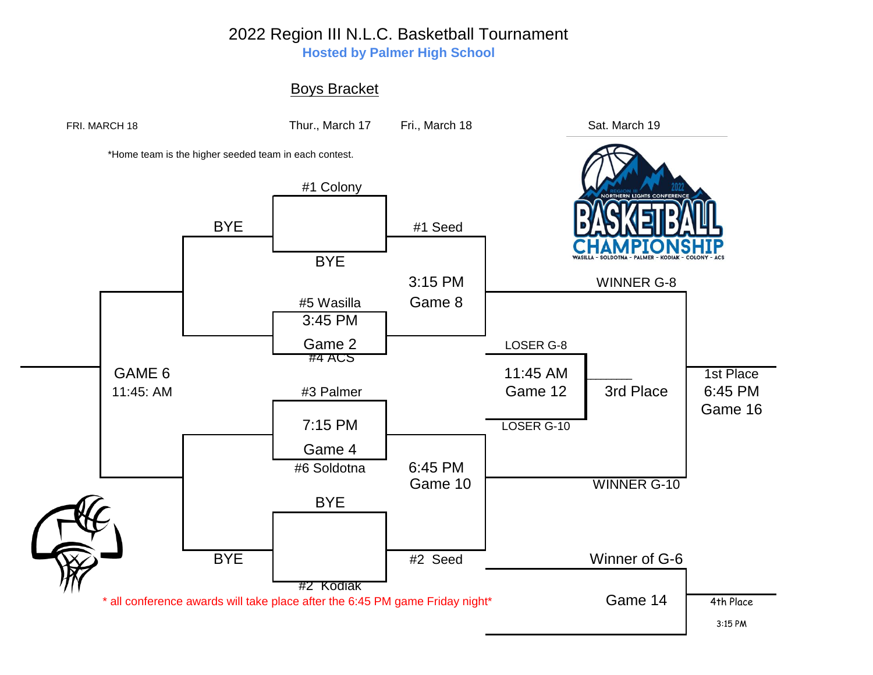## 2022 Region III N.L.C. Basketball Tournament

**Hosted by Palmer High School**

## Boys Bracket